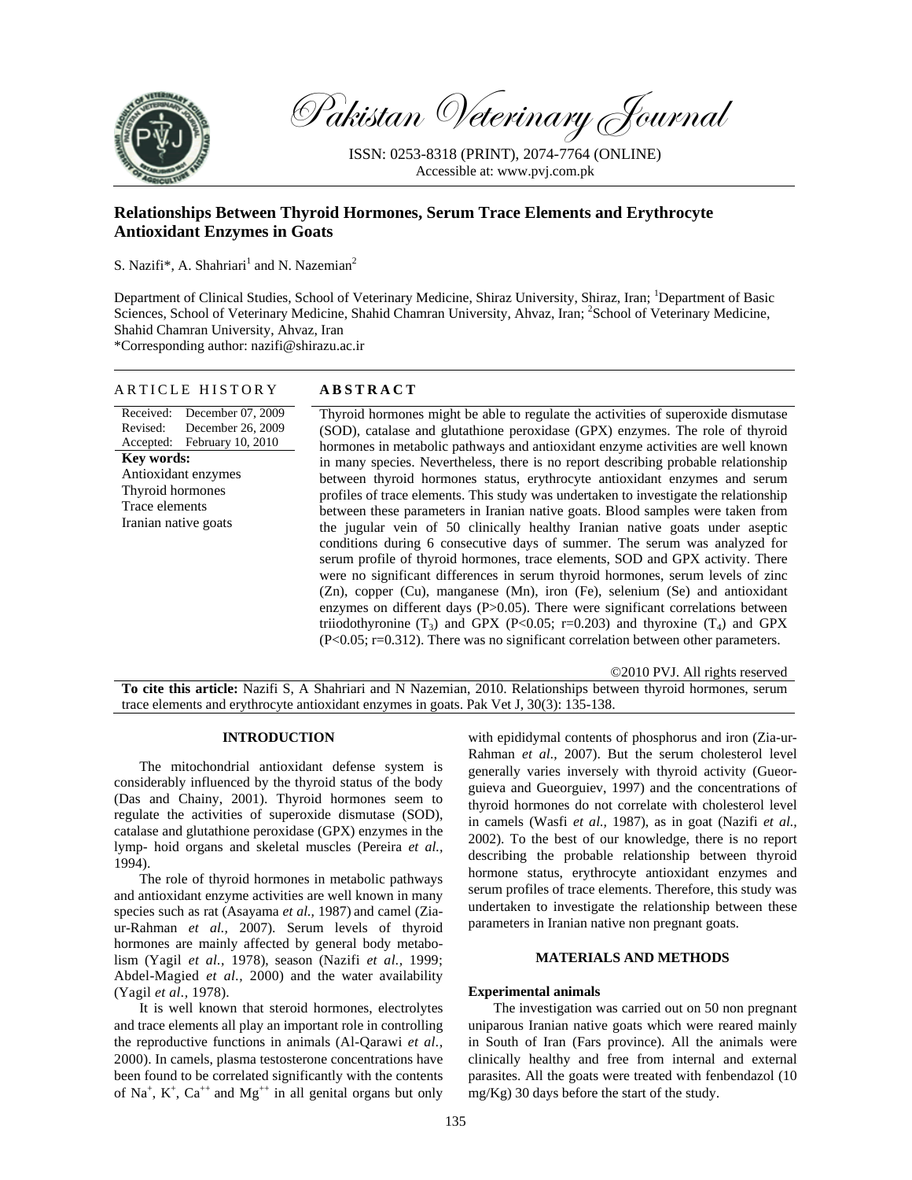

Pakistan Veterinary Journal

ISSN: 0253-8318 (PRINT), 2074-7764 (ONLINE) Accessible at: www.pvj.com.pk

# **Relationships Between Thyroid Hormones, Serum Trace Elements and Erythrocyte Antioxidant Enzymes in Goats**

S. Nazifi\*, A. Shahriari<sup>1</sup> and N. Nazemian<sup>2</sup>

Department of Clinical Studies, School of Veterinary Medicine, Shiraz University, Shiraz, Iran; <sup>1</sup>Department of Basic Sciences, School of Veterinary Medicine, Shahid Chamran University, Ahvaz, Iran; <sup>2</sup>School of Veterinary Medicine, Shahid Chamran University, Ahvaz, Iran

\*Corresponding author: nazifi@shirazu.ac.ir

ARTICLE HISTORY **ABSTRACT** 

| AN I I C L L III D I O N I                                                                      | лрэтилст                                                                                                                                                                                                                                                                                                                                                                                                                                                                                                                                                                                                                                                                                                                                                                                                                                                                                                                                                                                                                                                                                                            |  |  |  |  |  |
|-------------------------------------------------------------------------------------------------|---------------------------------------------------------------------------------------------------------------------------------------------------------------------------------------------------------------------------------------------------------------------------------------------------------------------------------------------------------------------------------------------------------------------------------------------------------------------------------------------------------------------------------------------------------------------------------------------------------------------------------------------------------------------------------------------------------------------------------------------------------------------------------------------------------------------------------------------------------------------------------------------------------------------------------------------------------------------------------------------------------------------------------------------------------------------------------------------------------------------|--|--|--|--|--|
| December 07, 2009<br>Received:                                                                  | Thyroid hormones might be able to regulate the activities of superoxide dismutase                                                                                                                                                                                                                                                                                                                                                                                                                                                                                                                                                                                                                                                                                                                                                                                                                                                                                                                                                                                                                                   |  |  |  |  |  |
| Revised:<br>December 26, 2009                                                                   | (SOD), catalase and glutathione peroxidase (GPX) enzymes. The role of thyroid                                                                                                                                                                                                                                                                                                                                                                                                                                                                                                                                                                                                                                                                                                                                                                                                                                                                                                                                                                                                                                       |  |  |  |  |  |
| Accepted: February 10, 2010                                                                     |                                                                                                                                                                                                                                                                                                                                                                                                                                                                                                                                                                                                                                                                                                                                                                                                                                                                                                                                                                                                                                                                                                                     |  |  |  |  |  |
| Key words:<br>Antioxidant enzymes<br>Thyroid hormones<br>Trace elements<br>Iranian native goats | hormones in metabolic pathways and antioxidant enzyme activities are well known<br>in many species. Nevertheless, there is no report describing probable relationship<br>between thyroid hormones status, erythrocyte antioxidant enzymes and serum<br>profiles of trace elements. This study was undertaken to investigate the relationship<br>between these parameters in Iranian native goats. Blood samples were taken from<br>the jugular vein of 50 clinically healthy Iranian native goats under aseptic<br>conditions during 6 consecutive days of summer. The serum was analyzed for<br>serum profile of thyroid hormones, trace elements, SOD and GPX activity. There<br>were no significant differences in serum thyroid hormones, serum levels of zinc<br>(Zn), copper (Cu), manganese (Mn), iron (Fe), selenium (Se) and antioxidant<br>enzymes on different days $(P>0.05)$ . There were significant correlations between<br>triiodothyronine $(T_3)$ and GPX (P<0.05; r=0.203) and thyroxine $(T_4)$ and GPX<br>$(P<0.05; r=0.312)$ . There was no significant correlation between other parameters. |  |  |  |  |  |
|                                                                                                 |                                                                                                                                                                                                                                                                                                                                                                                                                                                                                                                                                                                                                                                                                                                                                                                                                                                                                                                                                                                                                                                                                                                     |  |  |  |  |  |

©2010 PVJ. All rights reserved **To cite this article:** Nazifi S, A Shahriari and N Nazemian, 2010. Relationships between thyroid hormones, serum trace elements and erythrocyte antioxidant enzymes in goats. Pak Vet J, 30(3): 135-138.

# **INTRODUCTION**

The mitochondrial antioxidant defense system is considerably influenced by the thyroid status of the body (Das and Chainy, 2001). Thyroid hormones seem to regulate the activities of superoxide dismutase (SOD), catalase and glutathione peroxidase (GPX) enzymes in the lymp- hoid organs and skeletal muscles (Pereira *et al.,* 1994).

The role of thyroid hormones in metabolic pathways and antioxidant enzyme activities are well known in many species such as rat (Asayama *et al.,* 1987) and camel (Ziaur-Rahman *et al.,* 2007). Serum levels of thyroid hormones are mainly affected by general body metabolism (Yagil *et al.,* 1978), season (Nazifi *et al.,* 1999; Abdel-Magied *et al.,* 2000) and the water availability (Yagil *et al.,* 1978).

It is well known that steroid hormones, electrolytes and trace elements all play an important role in controlling the reproductive functions in animals (Al-Qarawi *et al.,* 2000). In camels, plasma testosterone concentrations have been found to be correlated significantly with the contents of Na<sup>+</sup>,  $K^+$ , Ca<sup>++</sup> and Mg<sup>++</sup> in all genital organs but only with epididymal contents of phosphorus and iron (Zia-ur-Rahman *et al.,* 2007). But the serum cholesterol level generally varies inversely with thyroid activity (Gueorguieva and Gueorguiev, 1997) and the concentrations of thyroid hormones do not correlate with cholesterol level in camels (Wasfi *et al.,* 1987), as in goat (Nazifi *et al.,* 2002). To the best of our knowledge, there is no report describing the probable relationship between thyroid hormone status, erythrocyte antioxidant enzymes and serum profiles of trace elements. Therefore, this study was undertaken to investigate the relationship between these parameters in Iranian native non pregnant goats.

# **MATERIALS AND METHODS**

## **Experimental animals**

The investigation was carried out on 50 non pregnant uniparous Iranian native goats which were reared mainly in South of Iran (Fars province). All the animals were clinically healthy and free from internal and external parasites. All the goats were treated with fenbendazol (10 mg/Kg) 30 days before the start of the study.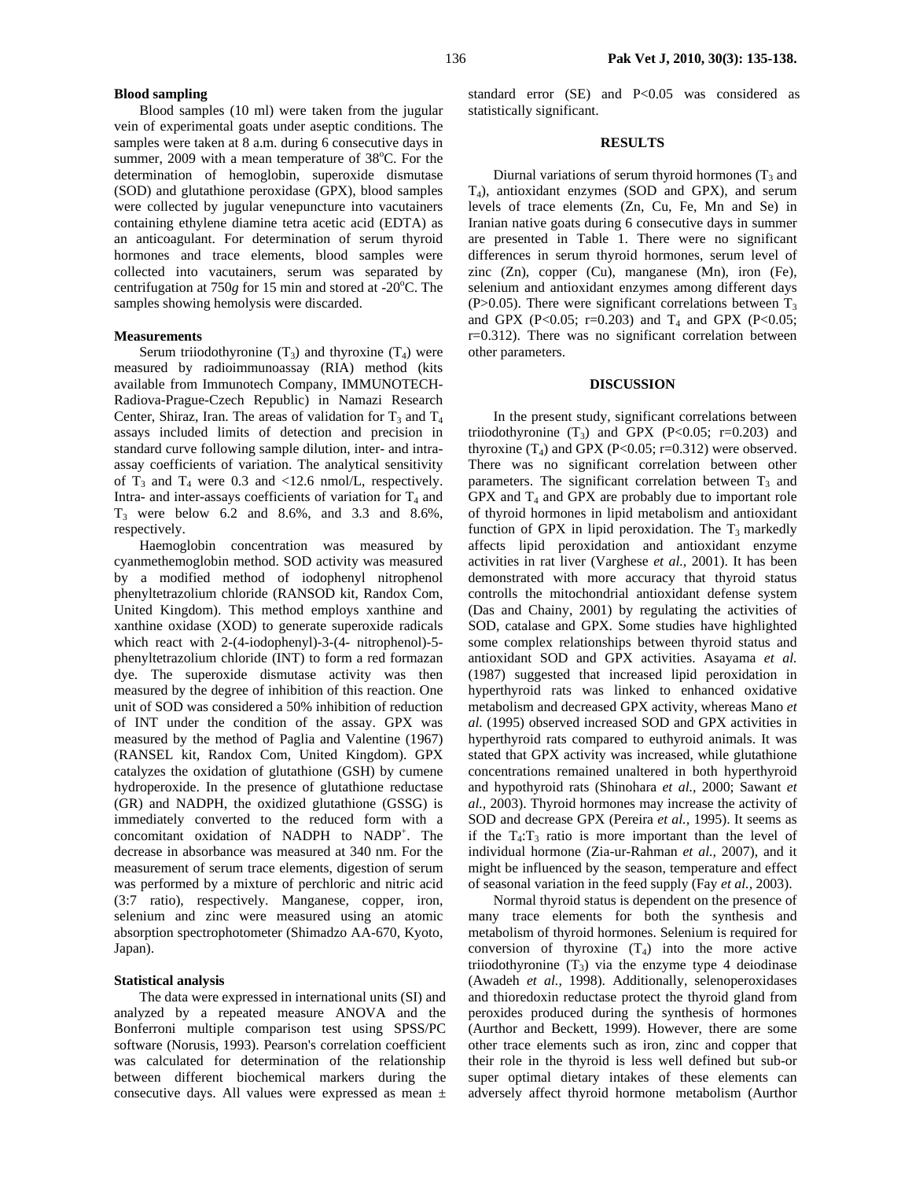#### **Blood sampling**

Blood samples (10 ml) were taken from the jugular vein of experimental goats under aseptic conditions. The samples were taken at 8 a.m. during 6 consecutive days in summer, 2009 with a mean temperature of 38°C. For the determination of hemoglobin, superoxide dismutase (SOD) and glutathione peroxidase (GPX), blood samples were collected by jugular venepuncture into vacutainers containing ethylene diamine tetra acetic acid (EDTA) as an anticoagulant. For determination of serum thyroid hormones and trace elements, blood samples were collected into vacutainers, serum was separated by centrifugation at 750g for 15 min and stored at -20<sup>o</sup>C. The samples showing hemolysis were discarded.

### **Measurements**

Serum triiodothyronine  $(T_3)$  and thyroxine  $(T_4)$  were measured by radioimmunoassay (RIA) method (kits available from Immunotech Company, IMMUNOTECH-Radiova-Prague-Czech Republic) in Namazi Research Center, Shiraz, Iran. The areas of validation for  $T_3$  and  $T_4$ assays included limits of detection and precision in standard curve following sample dilution, inter- and intraassay coefficients of variation. The analytical sensitivity of  $T_3$  and  $T_4$  were 0.3 and <12.6 nmol/L, respectively. Intra- and inter-assays coefficients of variation for  $T_4$  and  $T_3$  were below 6.2 and 8.6%, and 3.3 and 8.6%, respectively.

Haemoglobin concentration was measured by cyanmethemoglobin method. SOD activity was measured by a modified method of iodophenyl nitrophenol phenyltetrazolium chloride (RANSOD kit, Randox Com, United Kingdom). This method employs xanthine and xanthine oxidase (XOD) to generate superoxide radicals which react with 2-(4-iodophenyl)-3-(4- nitrophenol)-5 phenyltetrazolium chloride (INT) to form a red formazan dye. The superoxide dismutase activity was then measured by the degree of inhibition of this reaction. One unit of SOD was considered a 50% inhibition of reduction of INT under the condition of the assay. GPX was measured by the method of Paglia and Valentine (1967) (RANSEL kit, Randox Com, United Kingdom). GPX catalyzes the oxidation of glutathione (GSH) by cumene hydroperoxide. In the presence of glutathione reductase (GR) and NADPH, the oxidized glutathione (GSSG) is immediately converted to the reduced form with a concomitant oxidation of NADPH to NADP+ . The decrease in absorbance was measured at 340 nm. For the measurement of serum trace elements, digestion of serum was performed by a mixture of perchloric and nitric acid (3:7 ratio), respectively. Manganese, copper, iron, selenium and zinc were measured using an atomic absorption spectrophotometer (Shimadzo AA-670, Kyoto, Japan).

#### **Statistical analysis**

The data were expressed in international units (SI) and analyzed by a repeated measure ANOVA and the Bonferroni multiple comparison test using SPSS/PC software (Norusis, 1993). Pearson's correlation coefficient was calculated for determination of the relationship between different biochemical markers during the consecutive days. All values were expressed as mean  $\pm$  standard error (SE) and P<0.05 was considered as statistically significant.

#### **RESULTS**

Diurnal variations of serum thyroid hormones  $(T_3$  and T4), antioxidant enzymes (SOD and GPX), and serum levels of trace elements (Zn, Cu, Fe, Mn and Se) in Iranian native goats during 6 consecutive days in summer are presented in Table 1. There were no significant differences in serum thyroid hormones, serum level of zinc (Zn), copper (Cu), manganese (Mn), iron (Fe), selenium and antioxidant enzymes among different days (P>0.05). There were significant correlations between  $T_3$ and GPX (P<0.05; r=0.203) and  $T_4$  and GPX (P<0.05; r=0.312). There was no significant correlation between other parameters.

#### **DISCUSSION**

In the present study, significant correlations between triiodothyronine  $(T_3)$  and GPX  $(P<0.05; r=0.203)$  and thyroxine  $(T_4)$  and GPX (P<0.05; r=0.312) were observed. There was no significant correlation between other parameters. The significant correlation between  $T_3$  and GPX and  $T_4$  and GPX are probably due to important role of thyroid hormones in lipid metabolism and antioxidant function of GPX in lipid peroxidation. The  $T_3$  markedly affects lipid peroxidation and antioxidant enzyme activities in rat liver (Varghese *et al.,* 2001). It has been demonstrated with more accuracy that thyroid status controlls the mitochondrial antioxidant defense system (Das and Chainy, 2001) by regulating the activities of SOD, catalase and GPX. Some studies have highlighted some complex relationships between thyroid status and antioxidant SOD and GPX activities. Asayama *et al.* (1987) suggested that increased lipid peroxidation in hyperthyroid rats was linked to enhanced oxidative metabolism and decreased GPX activity, whereas Mano *et al.* (1995) observed increased SOD and GPX activities in hyperthyroid rats compared to euthyroid animals. It was stated that GPX activity was increased, while glutathione concentrations remained unaltered in both hyperthyroid and hypothyroid rats (Shinohara *et al.,* 2000; Sawant *et al.,* 2003). Thyroid hormones may increase the activity of SOD and decrease GPX (Pereira *et al.,* 1995). It seems as if the  $T_4$ :  $T_3$  ratio is more important than the level of individual hormone (Zia-ur-Rahman *et al.,* 2007), and it might be influenced by the season, temperature and effect of seasonal variation in the feed supply (Fay *et al.,* 2003).

Normal thyroid status is dependent on the presence of many trace elements for both the synthesis and metabolism of thyroid hormones. Selenium is required for conversion of thyroxine  $(T_4)$  into the more active triiodothyronine  $(T_3)$  via the enzyme type 4 deiodinase (Awadeh *et al.,* 1998). Additionally, selenoperoxidases and thioredoxin reductase protect the thyroid gland from peroxides produced during the synthesis of hormones (Aurthor and Beckett, 1999). However, there are some other trace elements such as iron, zinc and copper that their role in the thyroid is less well defined but sub-or super optimal dietary intakes of these elements can adversely affect thyroid hormone metabolism (Aurthor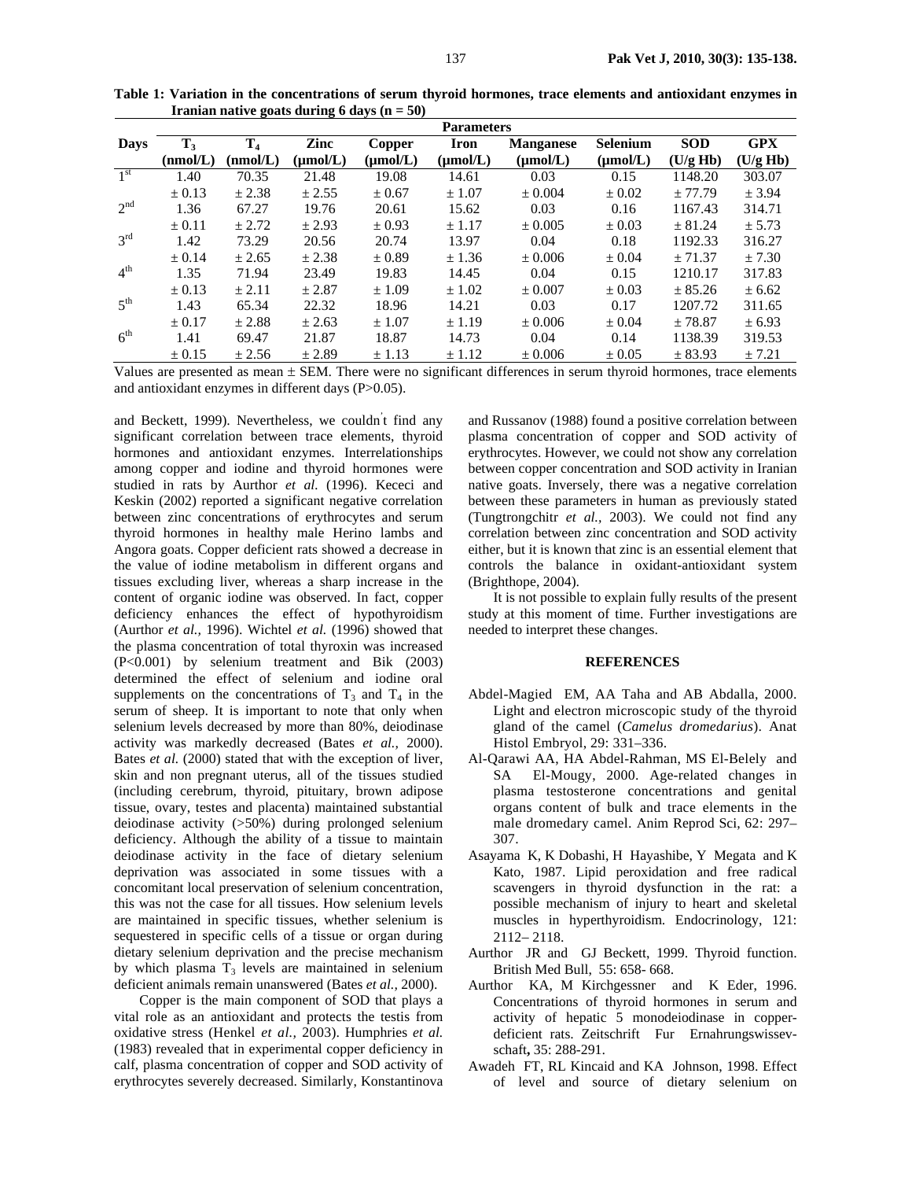|                 | <b>Parameters</b> |          |                      |                      |               |                  |                 |            |            |  |  |
|-----------------|-------------------|----------|----------------------|----------------------|---------------|------------------|-----------------|------------|------------|--|--|
| <b>Days</b>     | $\mathbf{T}_3$    | $T_{4}$  | Zinc                 | Copper               | <b>Iron</b>   | <b>Manganese</b> | <b>Selenium</b> | <b>SOD</b> | <b>GPX</b> |  |  |
|                 | (nmol/L)          | (nmol/L) | $(\mu \text{mol/L})$ | $(\mu \text{mol/L})$ | $(\mu mol/L)$ | $(\mu mol/L)$    | $(\mu mol/L)$   | (U/g Hb)   | (U/g Hb)   |  |  |
| $1^{\rm st}$    | 1.40              | 70.35    | 21.48                | 19.08                | 14.61         | 0.03             | 0.15            | 1148.20    | 303.07     |  |  |
|                 | $\pm 0.13$        | ± 2.38   | ± 2.55               | $\pm 0.67$           | ± 1.07        | ± 0.004          | $\pm 0.02$      | $+77.79$   | ± 3.94     |  |  |
| 2 <sup>nd</sup> | 1.36              | 67.27    | 19.76                | 20.61                | 15.62         | 0.03             | 0.16            | 1167.43    | 314.71     |  |  |
|                 | $\pm 0.11$        | $+2.72$  | ± 2.93               | $\pm 0.93$           | ± 1.17        | $\pm 0.005$      | $\pm 0.03$      | ± 81.24    | ± 5.73     |  |  |
| 3 <sup>rd</sup> | 1.42              | 73.29    | 20.56                | 20.74                | 13.97         | 0.04             | 0.18            | 1192.33    | 316.27     |  |  |
|                 | $\pm 0.14$        | ± 2.65   | ± 2.38               | $\pm 0.89$           | ± 1.36        | ± 0.006          | $\pm 0.04$      | ± 71.37    | ± 7.30     |  |  |
| 4 <sup>th</sup> | 1.35              | 71.94    | 23.49                | 19.83                | 14.45         | 0.04             | 0.15            | 1210.17    | 317.83     |  |  |
|                 | $\pm 0.13$        | $+2.11$  | $+2.87$              | $+1.09$              | $\pm 1.02$    | $+0.007$         | $+0.03$         | $+85.26$   | ± 6.62     |  |  |
| $5^{\text{th}}$ | 1.43              | 65.34    | 22.32                | 18.96                | 14.21         | 0.03             | 0.17            | 1207.72    | 311.65     |  |  |
|                 | $\pm 0.17$        | $+2.88$  | ± 2.63               | ± 1.07               | ±1.19         | ± 0.006          | $\pm 0.04$      | ± 78.87    | ± 6.93     |  |  |
| 6 <sup>th</sup> | 1.41              | 69.47    | 21.87                | 18.87                | 14.73         | 0.04             | 0.14            | 1138.39    | 319.53     |  |  |
|                 | ± 0.15            | ± 2.56   | ± 2.89               | ± 1.13               | $\pm$ 1.12    | ± 0.006          | $\pm 0.05$      | ± 83.93    | $+7.21$    |  |  |

**Table 1: Variation in the concentrations of serum thyroid hormones, trace elements and antioxidant enzymes in Iranian native goats during 6 days (n = 50)** 

Values are presented as mean  $\pm$  SEM. There were no significant differences in serum thyroid hormones, trace elements and antioxidant enzymes in different days (P>0.05).

and Beckett, 1999). Nevertheless, we couldn' t find any significant correlation between trace elements, thyroid hormones and antioxidant enzymes. Interrelationships among copper and iodine and thyroid hormones were studied in rats by Aurthor *et al.* (1996). Kececi and Keskin (2002) reported a significant negative correlation between zinc concentrations of erythrocytes and serum thyroid hormones in healthy male Herino lambs and Angora goats. Copper deficient rats showed a decrease in the value of iodine metabolism in different organs and tissues excluding liver, whereas a sharp increase in the content of organic iodine was observed. In fact, copper deficiency enhances the effect of hypothyroidism (Aurthor *et al.,* 1996). Wichtel *et al.* (1996) showed that the plasma concentration of total thyroxin was increased (P<0.001) by selenium treatment and Bik (2003) determined the effect of selenium and iodine oral supplements on the concentrations of  $T_3$  and  $T_4$  in the serum of sheep. It is important to note that only when selenium levels decreased by more than 80%, deiodinase activity was markedly decreased (Bates *et al.,* 2000). Bates *et al.* (2000) stated that with the exception of liver, skin and non pregnant uterus, all of the tissues studied (including cerebrum, thyroid, pituitary, brown adipose tissue, ovary, testes and placenta) maintained substantial deiodinase activity (>50%) during prolonged selenium deficiency. Although the ability of a tissue to maintain deiodinase activity in the face of dietary selenium deprivation was associated in some tissues with a concomitant local preservation of selenium concentration, this was not the case for all tissues. How selenium levels are maintained in specific tissues, whether selenium is sequestered in specific cells of a tissue or organ during dietary selenium deprivation and the precise mechanism by which plasma  $T_3$  levels are maintained in selenium deficient animals remain unanswered (Bates *et al.,* 2000).

Copper is the main component of SOD that plays a vital role as an antioxidant and protects the testis from oxidative stress (Henkel *et al.,* 2003). Humphries *et al.* (1983) revealed that in experimental copper deficiency in calf, plasma concentration of copper and SOD activity of erythrocytes severely decreased. Similarly, Konstantinova

and Russanov (1988) found a positive correlation between plasma concentration of copper and SOD activity of erythrocytes. However, we could not show any correlation between copper concentration and SOD activity in Iranian native goats. Inversely, there was a negative correlation between these parameters in human as previously stated (Tungtrongchitr *et al.,* 2003). We could not find any correlation between zinc concentration and SOD activity either, but it is known that zinc is an essential element that controls the balance in oxidant-antioxidant system (Brighthope, 2004).

It is not possible to explain fully results of the present study at this moment of time. Further investigations are needed to interpret these changes.

## **REFERENCES**

- Abdel-Magied EM, AA Taha and AB Abdalla, 2000. Light and electron microscopic study of the thyroid gland of the camel (*Camelus dromedarius*). Anat Histol Embryol, 29: 331–336.
- Al-Qarawi AA, HA Abdel-Rahman, MS El-Belely and SA El-Mougy, 2000. Age-related changes in plasma testosterone concentrations and genital organs content of bulk and trace elements in the male dromedary camel. Anim Reprod Sci, 62: 297– 307.
- Asayama K, K Dobashi, H Hayashibe, Y Megata and K Kato, 1987. Lipid peroxidation and free radical scavengers in thyroid dysfunction in the rat: a possible mechanism of injury to heart and skeletal muscles in hyperthyroidism. Endocrinology, 121: 2112− 2118.
- Aurthor JR and GJ Beckett, 1999. Thyroid function. British Med Bull, 55: 658- 668.
- Aurthor KA, M Kirchgessner and K Eder, 1996. Concentrations of thyroid hormones in serum and activity of hepatic 5 monodeiodinase in copperdeficient rats. Zeitschrift Fur Ernahrungswissevschaft**,** 35: 288-291.
- Awadeh FT, RL Kincaid and KA Johnson, 1998. Effect of level and source of dietary selenium on